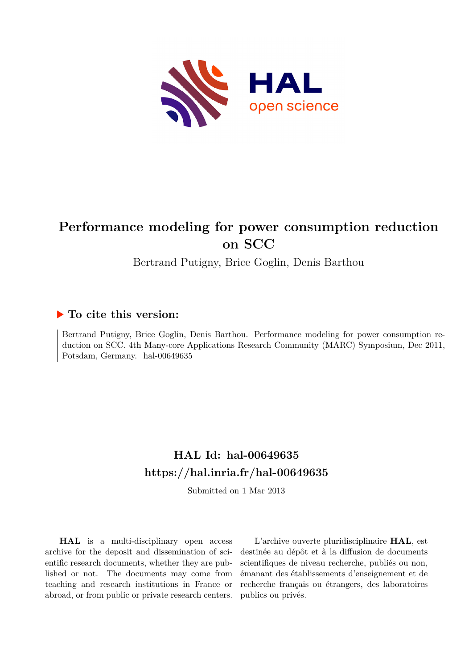

# **Performance modeling for power consumption reduction on SCC**

Bertrand Putigny, Brice Goglin, Denis Barthou

### **To cite this version:**

Bertrand Putigny, Brice Goglin, Denis Barthou. Performance modeling for power consumption reduction on SCC. 4th Many-core Applications Research Community (MARC) Symposium, Dec 2011, Potsdam, Germany. hal-00649635

## **HAL Id: hal-00649635 <https://hal.inria.fr/hal-00649635>**

Submitted on 1 Mar 2013

**HAL** is a multi-disciplinary open access archive for the deposit and dissemination of scientific research documents, whether they are published or not. The documents may come from teaching and research institutions in France or abroad, or from public or private research centers.

L'archive ouverte pluridisciplinaire **HAL**, est destinée au dépôt et à la diffusion de documents scientifiques de niveau recherche, publiés ou non, émanant des établissements d'enseignement et de recherche français ou étrangers, des laboratoires publics ou privés.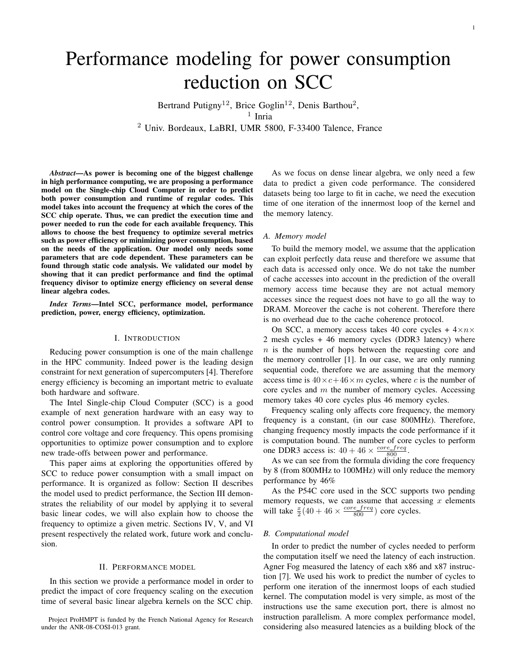# Performance modeling for power consumption reduction on SCC

Bertrand Putigny<sup>12</sup>, Brice Goglin<sup>12</sup>, Denis Barthou<sup>2</sup>, 1 Inria <sup>2</sup> Univ. Bordeaux, LaBRI, UMR 5800, F-33400 Talence, France

*Abstract*—As power is becoming one of the biggest challenge in high performance computing, we are proposing a performance model on the Single-chip Cloud Computer in order to predict both power consumption and runtime of regular codes. This model takes into account the frequency at which the cores of the SCC chip operate. Thus, we can predict the execution time and power needed to run the code for each available frequency. This allows to choose the best frequency to optimize several metrics such as power efficiency or minimizing power consumption, based on the needs of the application. Our model only needs some parameters that are code dependent. These parameters can be found through static code analysis. We validated our model by showing that it can predict performance and find the optimal frequency divisor to optimize energy efficiency on several dense linear algebra codes.

*Index Terms*—Intel SCC, performance model, performance prediction, power, energy efficiency, optimization.

#### I. INTRODUCTION

Reducing power consumption is one of the main challenge in the HPC community. Indeed power is the leading design constraint for next generation of supercomputers [4]. Therefore energy efficiency is becoming an important metric to evaluate both hardware and software.

The Intel Single-chip Cloud Computer (SCC) is a good example of next generation hardware with an easy way to control power consumption. It provides a software API to control core voltage and core frequency. This opens promising opportunities to optimize power consumption and to explore new trade-offs between power and performance.

This paper aims at exploring the opportunities offered by SCC to reduce power consumption with a small impact on performance. It is organized as follow: Section II describes the model used to predict performance, the Section III demonstrates the reliability of our model by applying it to several basic linear codes, we will also explain how to choose the frequency to optimize a given metric. Sections IV, V, and VI present respectively the related work, future work and conclusion.

#### II. PERFORMANCE MODEL

In this section we provide a performance model in order to predict the impact of core frequency scaling on the execution time of several basic linear algebra kernels on the SCC chip.

As we focus on dense linear algebra, we only need a few data to predict a given code performance. The considered datasets being too large to fit in cache, we need the execution time of one iteration of the innermost loop of the kernel and the memory latency.

#### *A. Memory model*

To build the memory model, we assume that the application can exploit perfectly data reuse and therefore we assume that each data is accessed only once. We do not take the number of cache accesses into account in the prediction of the overall memory access time because they are not actual memory accesses since the request does not have to go all the way to DRAM. Moreover the cache is not coherent. Therefore there is no overhead due to the cache coherence protocol.

On SCC, a memory access takes 40 core cycles +  $4 \times n \times$ 2 mesh cycles + 46 memory cycles (DDR3 latency) where n is the number of hops between the requesting core and the memory controller [1]. In our case, we are only running sequential code, therefore we are assuming that the memory access time is  $40 \times c + 46 \times m$  cycles, where c is the number of core cycles and  $m$  the number of memory cycles. Accessing memory takes 40 core cycles plus 46 memory cycles.

Frequency scaling only affects core frequency, the memory frequency is a constant, (in our case 800MHz). Therefore, changing frequency mostly impacts the code performance if it is computation bound. The number of core cycles to perform one DDR3 access is:  $40 + 46 \times \frac{core\_freq}{800}$ .

As we can see from the formula dividing the core frequency by 8 (from 800MHz to 100MHz) will only reduce the memory performance by 46%

As the P54C core used in the SCC supports two pending memory requests, we can assume that accessing  $x$  elements will take  $\frac{x}{2}(40 + 46 \times \frac{core\_freq}{800})$  core cycles.

#### *B. Computational model*

In order to predict the number of cycles needed to perform the computation itself we need the latency of each instruction. Agner Fog measured the latency of each x86 and x87 instruction [7]. We used his work to predict the number of cycles to perform one iteration of the innermost loops of each studied kernel. The computation model is very simple, as most of the instructions use the same execution port, there is almost no instruction parallelism. A more complex performance model, considering also measured latencies as a building block of the

Project ProHMPT is funded by the French National Agency for Research under the ANR-08-COSI-013 grant.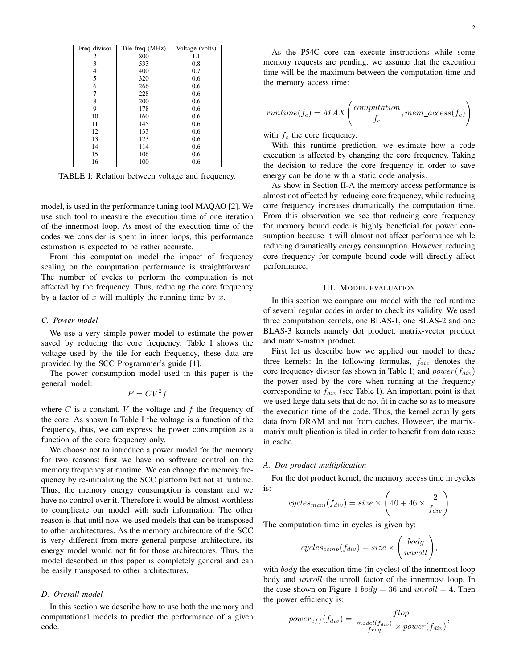| Freq divisor | Tile freq (MHz) | Voltage (volts) |
|--------------|-----------------|-----------------|
|              | 800             | 1.1             |
| 3            | 533             | 0.8             |
| 4            | 400             | 0.7             |
| 5            | 320             | 0.6             |
| 6            | 266             | 0.6             |
|              | 228             | 0.6             |
| 8            | 200             | 0.6             |
| 9            | 178             | 0.6             |
| 10           | 160             | 0.6             |
| 11           | 145             | 0.6             |
| 12           | 133             | 0.6             |
| 13           | 123             | 0.6             |
| 14           | 114             | 0.6             |
| 15           | 106             | 0.6             |
| 16           | 100             | 0.6             |

TABLE I: Relation between voltage and frequency.

model, is used in the performance tuning tool MAQAO [2]. We use such tool to measure the execution time of one iteration of the innermost loop. As most of the execution time of the codes we consider is spent in inner loops, this performance estimation is expected to be rather accurate.

From this computation model the impact of frequency scaling on the computation performance is straightforward. The number of cycles to perform the computation is not affected by the frequency. Thus, reducing the core frequency by a factor of  $x$  will multiply the running time by  $x$ .

#### *C. Power model*

We use a very simple power model to estimate the power saved by reducing the core frequency. Table I shows the voltage used by the tile for each frequency, these data are provided by the SCC Programmer's guide [1].

The power consumption model used in this paper is the general model:

$$
P = CV^2f
$$

where  $C$  is a constant,  $V$  the voltage and  $f$  the frequency of the core. As shown In Table I the voltage is a function of the frequency, thus, we can express the power consumption as a function of the core frequency only.

We choose not to introduce a power model for the memory for two reasons: first we have no software control on the memory frequency at runtime. We can change the memory frequency by re-initializing the SCC platform but not at runtime. Thus, the memory energy consumption is constant and we have no control over it. Therefore it would be almost worthless to complicate our model with such information. The other reason is that until now we used models that can be transposed to other architectures. As the memory architecture of the SCC is very different from more general purpose architecture, its energy model would not fit for those architectures. Thus, the model described in this paper is completely general and can be easily transposed to other architectures.

#### *D. Overall model*

In this section we describe how to use both the memory and computational models to predict the performance of a given code.

$$
runtime(f_c) = MAX\left(\frac{computation}{f_c}, mem\_access(f_c)\right)
$$

with  $f_c$  the core frequency.

With this runtime prediction, we estimate how a code execution is affected by changing the core frequency. Taking the decision to reduce the core frequency in order to save energy can be done with a static code analysis.

As show in Section II-A the memory access performance is almost not affected by reducing core frequency, while reducing core frequency increases dramatically the computation time. From this observation we see that reducing core frequency for memory bound code is highly beneficial for power consumption because it will almost not affect performance while reducing dramatically energy consumption. However, reducing core frequency for compute bound code will directly affect performance.

#### III. MODEL EVALUATION

In this section we compare our model with the real runtime of several regular codes in order to check its validity. We used three computation kernels, one BLAS-1, one BLAS-2 and one BLAS-3 kernels namely dot product, matrix-vector product and matrix-matrix product.

First let us describe how we applied our model to these three kernels: In the following formulas,  $f_{div}$  denotes the core frequency divisor (as shown in Table I) and  $power(f_{div})$ the power used by the core when running at the frequency corresponding to  $f_{div}$  (see Table I). An important point is that we used large data sets that do not fit in cache so as to measure the execution time of the code. Thus, the kernel actually gets data from DRAM and not from caches. However, the matrixmatrix multiplication is tiled in order to benefit from data reuse in cache.

#### *A. Dot product multiplication*

For the dot product kernel, the memory access time in cycles is:

$$
cycles_{mem}(f_{div}) = size \times \left(40 + 46 \times \frac{2}{f_{div}}\right)
$$

The computation time in cycles is given by:

$$
cycles_{comp}(f_{div}) = size \times \left(\frac{body}{unroll}\right),\,
$$

with *body* the execution time (in cycles) of the innermost loop body and *unroll* the unroll factor of the innermost loop. In the case shown on Figure 1  $body = 36$  and  $unroll = 4$ . Then the power efficiency is:

$$
power_{eff}(f_{div}) = \frac{flop}{\frac{model(f_{div})}{freq} \times power(f_{div})},
$$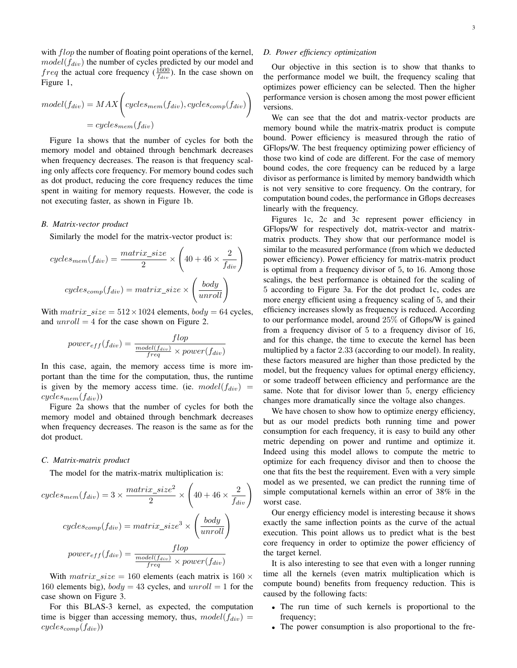with *flop* the number of floating point operations of the kernel,  $model(f_{div})$  the number of cycles predicted by our model and *freq* the actual core frequency  $(\frac{1600}{f_{div}})$ . In the case shown on Figure 1,

$$
model(f_{div}) = MAX\left(cycles_{mem}(f_{div}), cycles_{comp}(f_{div})\right)
$$

$$
= cycles_{mem}(f_{div})
$$

Figure 1a shows that the number of cycles for both the memory model and obtained through benchmark decreases when frequency decreases. The reason is that frequency scaling only affects core frequency. For memory bound codes such as dot product, reducing the core frequency reduces the time spent in waiting for memory requests. However, the code is not executing faster, as shown in Figure 1b.

#### *B. Matrix-vector product*

Similarly the model for the matrix-vector product is:

$$
cycles_{mem}(f_{div}) = \frac{matrix\_size}{2} \times \left(40 + 46 \times \frac{2}{f_{div}}\right)
$$

$$
cycles_{comp}(f_{div}) = matrix\_size \times \left(\frac{body}{unroll}\right)
$$

With  $matrix\_size = 512 \times 1024$  elements,  $body = 64$  cycles, and  $unroll = 4$  for the case shown on Figure 2.

$$
power_{eff}(f_{div}) = \frac{flop}{\frac{model(f_{div})}{freq} \times power(f_{div})}
$$

In this case, again, the memory access time is more important than the time for the computation, thus, the runtime is given by the memory access time. (ie.  $model(f_{div})$  =  $cycles_{mem}(f_{div}))$ 

Figure 2a shows that the number of cycles for both the memory model and obtained through benchmark decreases when frequency decreases. The reason is the same as for the dot product.

#### *C. Matrix-matrix product*

The model for the matrix-matrix multiplication is:

$$
cycles_{mem}(f_{div}) = 3 \times \frac{matrix\_size^2}{2} \times \left(40 + 46 \times \frac{2}{f_{div}}\right)
$$

$$
cycles_{comp}(f_{div}) = matrix\_size^3 \times \left(\frac{body}{unroll}\right)
$$

$$
power_{eff}(f_{div}) = \frac{flop}{\frac{model(f_{div})}{freq} \times power(f_{div})}
$$

With  $matrix\_size = 160$  elements (each matrix is  $160 \times$ 160 elements big),  $body = 43$  cycles, and  $unroll = 1$  for the case shown on Figure 3.

For this BLAS-3 kernel, as expected, the computation time is bigger than accessing memory, thus,  $model(f_{div})$  =  $cycles_{comp}(f_{div}))$ 

#### *D. Power efficiency optimization*

Our objective in this section is to show that thanks to the performance model we built, the frequency scaling that optimizes power efficiency can be selected. Then the higher performance version is chosen among the most power efficient versions.

We can see that the dot and matrix-vector products are memory bound while the matrix-matrix product is compute bound. Power efficiency is measured through the ratio of GFlops/W. The best frequency optimizing power efficiency of those two kind of code are different. For the case of memory bound codes, the core frequency can be reduced by a large divisor as performance is limited by memory bandwidth which is not very sensitive to core frequency. On the contrary, for computation bound codes, the performance in Gflops decreases linearly with the frequency.

Figures 1c, 2c and 3c represent power efficiency in GFlops/W for respectively dot, matrix-vector and matrixmatrix products. They show that our performance model is similar to the measured performance (from which we deducted power efficiency). Power efficiency for matrix-matrix product is optimal from a frequency divisor of 5, to 16. Among those scalings, the best performance is obtained for the scaling of 5 according to Figure 3a. For the dot product 1c, codes are more energy efficient using a frequency scaling of 5, and their efficiency increases slowly as frequency is reduced. According to our performance model, around 25% of Gflops/W is gained from a frequency divisor of 5 to a frequency divisor of 16, and for this change, the time to execute the kernel has been multiplied by a factor 2.33 (according to our model). In reality, these factors measured are higher than those predicted by the model, but the frequency values for optimal energy efficiency, or some tradeoff between efficiency and performance are the same. Note that for divisor lower than 5, energy efficiency changes more dramatically since the voltage also changes.

We have chosen to show how to optimize energy efficiency, but as our model predicts both running time and power consumption for each frequency, it is easy to build any other metric depending on power and runtime and optimize it. Indeed using this model allows to compute the metric to optimize for each frequency divisor and then to choose the one that fits the best the requirement. Even with a very simple model as we presented, we can predict the running time of simple computational kernels within an error of 38% in the worst case.

Our energy efficiency model is interesting because it shows exactly the same inflection points as the curve of the actual execution. This point allows us to predict what is the best core frequency in order to optimize the power efficiency of the target kernel.

It is also interesting to see that even with a longer running time all the kernels (even matrix multiplication which is compute bound) benefits from frequency reduction. This is caused by the following facts:

- The run time of such kernels is proportional to the frequency;
- The power consumption is also proportional to the fre-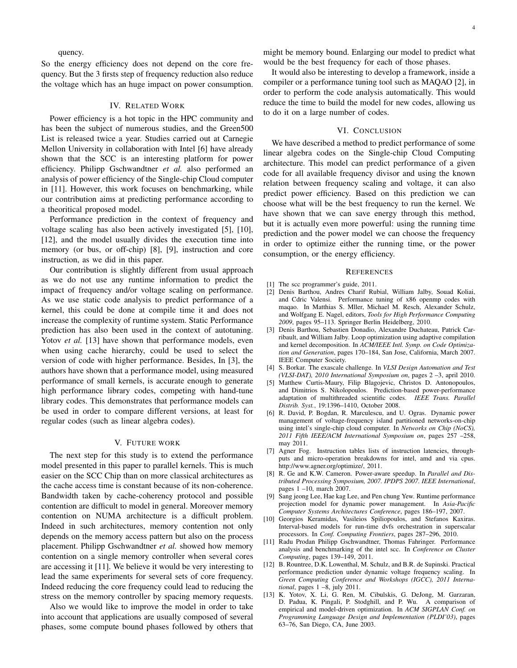quency.

So the energy efficiency does not depend on the core frequency. But the 3 firsts step of frequency reduction also reduce the voltage which has an huge impact on power consumption.

#### IV. RELATED WORK

Power efficiency is a hot topic in the HPC community and has been the subject of numerous studies, and the Green500 List is released twice a year. Studies carried out at Carnegie Mellon University in collaboration with Intel [6] have already shown that the SCC is an interesting platform for power efficiency. Philipp Gschwandtner *et al.* also performed an analysis of power efficiency of the Single-chip Cloud computer in [11]. However, this work focuses on benchmarking, while our contribution aims at predicting performance according to a theoritical proposed model.

Performance prediction in the context of frequency and voltage scaling has also been actively investigated [5], [10], [12], and the model usually divides the execution time into memory (or bus, or off-chip) [8], [9], instruction and core instruction, as we did in this paper.

Our contribution is slightly different from usual approach as we do not use any runtime information to predict the impact of frequency and/or voltage scaling on performance. As we use static code analysis to predict performance of a kernel, this could be done at compile time it and does not increase the complexity of runtime system. Static Performance prediction has also been used in the context of autotuning. Yotov *et al.* [13] have shown that performance models, even when using cache hierarchy, could be used to select the version of code with higher performance. Besides, In [3], the authors have shown that a performance model, using measured performance of small kernels, is accurate enough to generate high performance library codes, competing with hand-tune library codes. This demonstrates that performance models can be used in order to compare different versions, at least for regular codes (such as linear algebra codes).

#### V. FUTURE WORK

The next step for this study is to extend the performance model presented in this paper to parallel kernels. This is much easier on the SCC Chip than on more classical architectures as the cache access time is constant because of its non-coherence. Bandwidth taken by cache-coherency protocol and possible contention are difficult to model in general. Moreover memory contention on NUMA architecture is a difficult problem. Indeed in such architectures, memory contention not only depends on the memory access pattern but also on the process placement. Philipp Gschwandtner *et al.* showed how memory contention on a single memory controller when several cores are accessing it [11]. We believe it would be very interesting to lead the same experiments for several sets of core frequency. Indeed reducing the core frequency could lead to reducing the stress on the memory controller by spacing memory requests.

Also we would like to improve the model in order to take into account that applications are usually composed of several phases, some compute bound phases followed by others that

It would also be interesting to develop a framework, inside a compiler or a performance tuning tool such as MAQAO [2], in order to perform the code analysis automatically. This would reduce the time to build the model for new codes, allowing us to do it on a large number of codes.

#### VI. CONCLUSION

We have described a method to predict performance of some linear algebra codes on the Single-chip Cloud Computing architecture. This model can predict performance of a given code for all available frequency divisor and using the known relation between frequency scaling and voltage, it can also predict power efficiency. Based on this prediction we can choose what will be the best frequency to run the kernel. We have shown that we can save energy through this method, but it is actually even more powerful: using the running time prediction and the power model we can choose the frequency in order to optimize either the running time, or the power consumption, or the energy efficiency.

#### **REFERENCES**

- [1] The scc programmer's guide, 2011.
- [2] Denis Barthou, Andres Charif Rubial, William Jalby, Souad Koliai, and Cdric Valensi. Performance tuning of x86 openmp codes with maqao. In Matthias S. Mller, Michael M. Resch, Alexander Schulz, and Wolfgang E. Nagel, editors, *Tools for High Performance Computing 2009*, pages 95–113. Springer Berlin Heidelberg, 2010.
- [3] Denis Barthou, Sebastien Donadio, Alexandre Duchateau, Patrick Carribault, and William Jalby. Loop optimization using adaptive compilation and kernel decomposition. In *ACM/IEEE Intl. Symp. on Code Optimization and Generation*, pages 170–184, San Jose, California, March 2007. IEEE Computer Society.
- [4] S. Borkar. The exascale challenge. In *VLSI Design Automation and Test (VLSI-DAT), 2010 International Symposium on*, pages 2 –3, april 2010.
- [5] Matthew Curtis-Maury, Filip Blagojevic, Christos D. Antonopoulos, and Dimitrios S. Nikolopoulos. Prediction-based power-performance adaptation of multithreaded scientific codes. *IEEE Trans. Parallel Distrib. Syst.*, 19:1396–1410, October 2008.
- [6] R. David, P. Bogdan, R. Marculescu, and U. Ogras. Dynamic power management of voltage-frequency island partitioned networks-on-chip using intel's single-chip cloud computer. In *Networks on Chip (NoCS), 2011 Fifth IEEE/ACM International Symposium on*, pages 257 –258, may 2011.
- [7] Agner Fog. Instruction tables lists of instruction latencies, throughputs and micro-operation breakdowns for intel, amd and via cpus. http://www.agner.org/optimize/, 2011.
- [8] R. Ge and K.W. Cameron. Power-aware speedup. In *Parallel and Distributed Processing Symposium, 2007. IPDPS 2007. IEEE International*, pages 1 –10, march 2007.
- [9] Sang jeong Lee, Hae kag Lee, and Pen chung Yew. Runtime performance projection model for dynamic power management. In *Asia-Pacific Computer Systems Architectures Conference*, pages 186–197, 2007.
- [10] Georgios Keramidas, Vasileios Spiliopoulos, and Stefanos Kaxiras. Interval-based models for run-time dvfs orchestration in superscalar processors. In *Conf. Computing Frontiers*, pages 287–296, 2010.
- [11] Radu Prodan Philipp Gschwandtner, Thomas Fahringer. Performance analysis and benchmarking of the intel scc. In *Conference on Cluster Computing*, pages 139–149, 2011.
- [12] B. Rountree, D.K. Lowenthal, M. Schulz, and B.R. de Supinski. Practical performance prediction under dynamic voltage frequency scaling. In *Green Computing Conference and Workshops (IGCC), 2011 International*, pages 1 –8, july 2011.
- [13] K. Yotov, X. Li, G. Ren, M. Cibulskis, G. DeJong, M. Garzaran, D. Padua, K. Pingali, P. Stodghill, and P. Wu. A comparison of empirical and model-driven optimization. In *ACM SIGPLAN Conf. on Programming Language Design and Implementation (PLDI'03)*, pages 63–76, San Diego, CA, June 2003.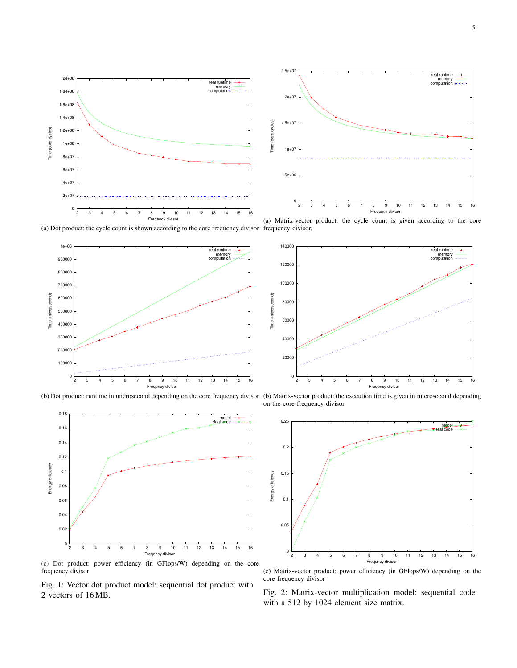

(a) Dot product: the cycle count is shown according to the core frequency divisor frequency divisor.



(b) Dot product: runtime in microsecond depending on the core frequency divisor (b) Matrix-vector product: the execution time is given in microsecond depending on the core frequency divisor



 0.25 Model<br>Real code 0.2 0.15 Energy efficiency Energy efficiency  $0.1$  0.05  $\Omega$  2 3 4 5 6 7 8 9 10 11 12 13 14 15 16 Freqency divisor

(c) Dot product: power efficiency (in GFlops/W) depending on the core frequency divisor

Fig. 1: Vector dot product model: sequential dot product with 2 vectors of 16 MB.

core frequency divisor Fig. 2: Matrix-vector multiplication model: sequential code

(c) Matrix-vector product: power efficiency (in GFlops/W) depending on the

with a 512 by 1024 element size matrix.